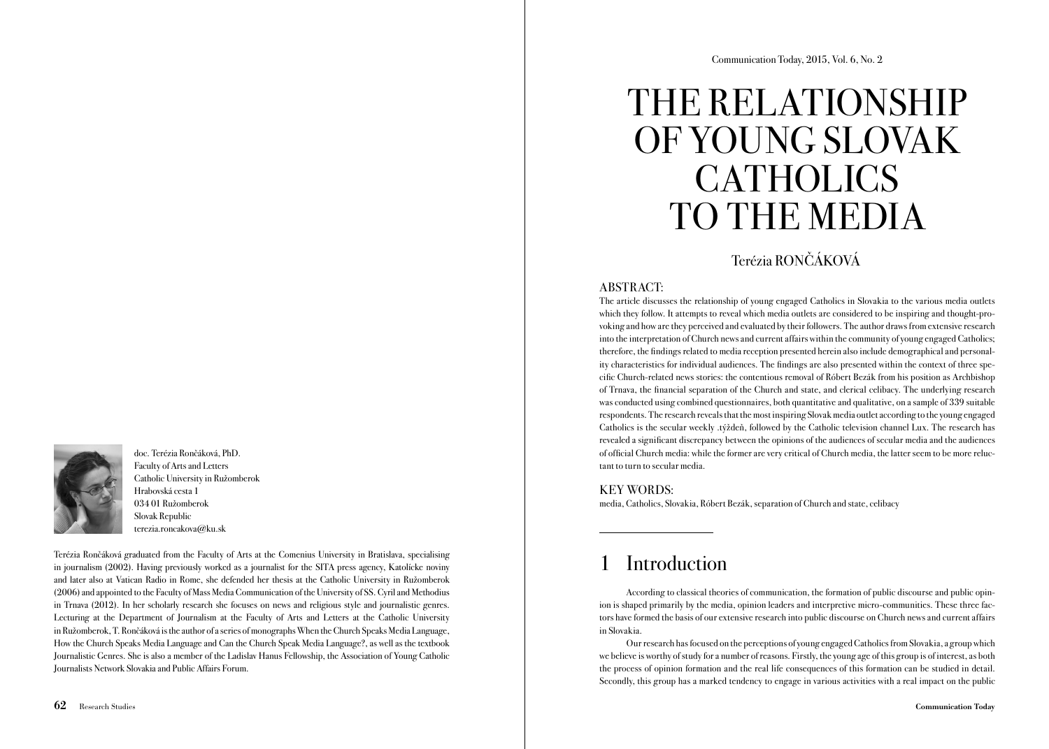doc. Terézia Rončáková, PhD. Faculty of Arts and Letters Catholic University in Ružomberok Hrabovská cesta 1 034 01 Ružomberok Slovak Republic terezia.roncakova@ku.sk

Terézia Rončáková graduated from the Faculty of Arts at the Comenius University in Bratislava, specialising in journalism (2002). Having previously worked as a journalist for the SITA press agency, Katolícke noviny and later also at Vatican Radio in Rome, she defended her thesis at the Catholic University in Ružomberok (2006) and appointed to the Faculty of Mass Media Communication of the University of SS. Cyril and Methodius in Trnava (2012). In her scholarly research she focuses on news and religious style and journalistic genres. Lecturing at the Department of Journalism at the Faculty of Arts and Letters at the Catholic University in Ružomberok, T. Rončáková is the author of a series of monographs When the Church Speaks Media Language, How the Church Speaks Media Language and Can the Church Speak Media Language?, as well as the textbook Journalistic Genres. She is also a member of the Ladislav Hanus Fellowship, the Association of Young Catholic Journalists Network Slovakia and Public Affairs Forum.

# THE RELATIONSHIP OF YOUNG SLOVAK CATHOLICS TO THE MEDIA

### Terézia RONČÁKOVÁ

### ABSTRACT:

The article discusses the relationship of young engaged Catholics in Slovakia to the various media outlets which they follow. It attempts to reveal which media outlets are considered to be inspiring and thought-provoking and how are they perceived and evaluated by their followers. The author draws from extensive research into the interpretation of Church news and current affairs within the community of young engaged Catholics; therefore, the findings related to media reception presented herein also include demographical and personality characteristics for individual audiences. The findings are also presented within the context of three specific Church-related news stories: the contentious removal of Róbert Bezák from his position as Archbishop of Trnava, the financial separation of the Church and state, and clerical celibacy. The underlying research was conducted using combined questionnaires, both quantitative and qualitative, on a sample of 339 suitable respondents. The research reveals that the most inspiring Slovak media outlet according to the young engaged Catholics is the secular weekly .týždeň, followed by the Catholic television channel Lux. The research has revealed a significant discrepancy between the opinions of the audiences of secular media and the audiences of official Church media: while the former are very critical of Church media, the latter seem to be more reluctant to turn to secular media.

### KEY WORDS:

media, Catholics, Slovakia, Róbert Bezák, separation of Church and state, celibacy

# **Introduction**

According to classical theories of communication, the formation of public discourse and public opinion is shaped primarily by the media, opinion leaders and interpretive micro-communities. These three factors have formed the basis of our extensive research into public discourse on Church news and current affairs in Slovakia.

Our research has focused on the perceptions of young engaged Catholics from Slovakia, a group which we believe is worthy of study for a number of reasons. Firstly, the young age of this group is of interest, as both the process of opinion formation and the real life consequences of this formation can be studied in detail. Secondly, this group has a marked tendency to engage in various activities with a real impact on the public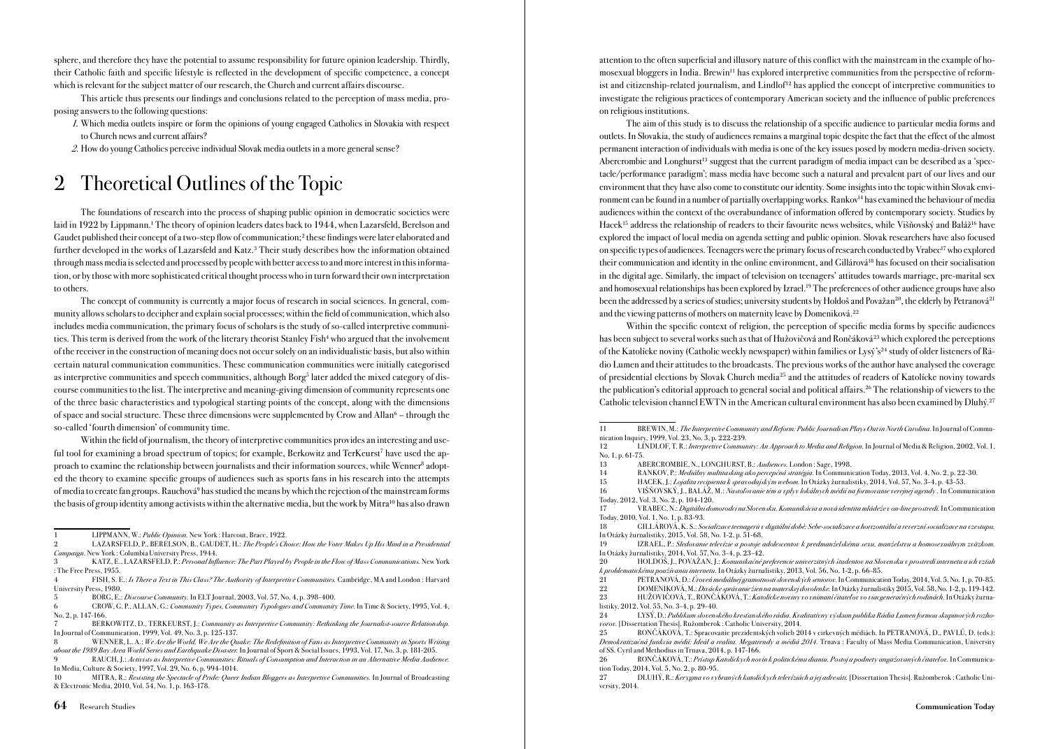sphere, and therefore they have the potential to assume responsibility for future opinion leadership. Thirdly, their Catholic faith and specific lifestyle is reflected in the development of specific competence, a concept which is relevant for the subject matter of our research, the Church and current affairs discourse.

This article thus presents our findings and conclusions related to the perception of mass media, proposing answers to the following questions:

1. Which media outlets inspire or form the opinions of young engaged Catholics in Slovakia with respect to Church news and current affairs?

2. How do young Catholics perceive individual Slovak media outlets in a more general sense?

# 2 Theoretical Outlines of the Topic

The foundations of research into the process of shaping public opinion in democratic societies were laid in 1922 by Lippmann.<sup>1</sup> The theory of opinion leaders dates back to 1944, when Lazarsfeld, Berelson and Gaudet published their concept of a two-step flow of communication;<sup>2</sup> these findings were later elaborated and further developed in the works of Lazarsfeld and Katz.3 Their study describes how the information obtained through mass media is selected and processed by people with better access to and more interest in this information, or by those with more sophisticated critical thought process who in turn forward their own interpretation to others.

The concept of community is currently a major focus of research in social sciences. In general, community allows scholars to decipher and explain social processes; within the field of communication, which also includes media communication, the primary focus of scholars is the study of so-called interpretive communities. This term is derived from the work of the literary theorist Stanley Fish<sup>4</sup> who argued that the involvement of the receiver in the construction of meaning does not occur solely on an individualistic basis, but also within certain natural communication communities. These communication communities were initially categorised as interpretive communities and speech communities, although Borg<sup>5</sup> later added the mixed category of discourse communities to the list. The interpretive and meaning-giving dimension of community represents one of the three basic characteristics and typological starting points of the concept, along with the dimensions of space and social structure. These three dimensions were supplemented by Crow and Allan<sup>6</sup> – through the so-called 'fourth dimension' of community time.

Within the field of journalism, the theory of interpretive communities provides an interesting and useful tool for examining a broad spectrum of topics; for example, Berkowitz and TerKeurst<sup>7</sup> have used the approach to examine the relationship between journalists and their information sources, while Wenner<sup>8</sup> adopted the theory to examine specific groups of audiences such as sports fans in his research into the attempts of media to create fan groups. Rauchová<sup>9</sup> has studied the means by which the rejection of the mainstream forms the basis of group identity among activists within the alternative media, but the work by Mitra<sup>10</sup> has also drawn attention to the often superficial and illusory nature of this conflict with the mainstream in the example of homosexual bloggers in India. Brewin<sup>11</sup> has explored interpretive communities from the perspective of reformist and citizenship-related journalism, and Lindlof<sup>12</sup> has applied the concept of interpretive communities to investigate the religious practices of contemporary American society and the influence of public preferences on religious institutions.

The aim of this study is to discuss the relationship of a specific audience to particular media forms and outlets. In Slovakia, the study of audiences remains a marginal topic despite the fact that the effect of the almost permanent interaction of individuals with media is one of the key issues posed by modern media-driven society. Abercrombie and Longhurst<sup>13</sup> suggest that the current paradigm of media impact can be described as a 'spectacle/performance paradigm'; mass media have become such a natural and prevalent part of our lives and our environment that they have also come to constitute our identity. Some insights into the topic within Slovak environment can be found in a number of partially overlapping works. Rankov<sup>14</sup> has examined the behaviour of media audiences within the context of the overabundance of information offered by contemporary society. Studies by Hacek<sup>15</sup> address the relationship of readers to their favourite news websites, while Višňovský and Baláž<sup>16</sup> have explored the impact of local media on agenda setting and public opinion. Slovak researchers have also focused on specific types of audiences. Teenagers were the primary focus of research conducted by Vrabec<sup>17</sup> who explored their communication and identity in the online environment, and Gillárová18 has focused on their socialisation in the digital age. Similarly, the impact of television on teenagers' attitudes towards marriage, pre-marital sex and homosexual relationships has been explored by Izrael.19 The preferences of other audience groups have also been the addressed by a series of studies; university students by Holdoš and Považan<sup>20</sup>, the elderly by Petranová<sup>21</sup> and the viewing patterns of mothers on maternity leave by Domeniková.<sup>22</sup>

Within the specific context of religion, the perception of specific media forms by specific audiences has been subject to several works such as that of Hužovičová and Rončáková<sup>23</sup> which explored the perceptions of the Katolícke noviny (Catholic weekly newspaper) within families or Lysý's<sup>24</sup> study of older listeners of Rádio Lumen and their attitudes to the broadcasts. The previous works of the author have analysed the coverage of presidential elections by Slovak Church media25 and the attitudes of readers of Katolícke noviny towards the publication's editorial approach to general social and political affairs.<sup>26</sup> The relationship of viewers to the Catholic television channel EWTN in the American cultural environment has also been examined by Dluhý.<sup>27</sup>

17 VRABEC, N.: Digitálni domorodci na Slovensku. Komunikácia a nová identita mládeže v on-line prostredí. In Communication Today, 2010, Vol. 1, No. 1, p. 83-93.

18 GILLÁROVÁ, K. S.: Socializace teenagerů v digitální době: Sebe-socializace a horizontální a reverzní socializace na vzestupu. In Otázky žurnalistiky, 2015, Vol. 58, No. 1-2, p. 51-68.

19 IZRAEL, P.: Sledovanie televízie a postoje adolescentov k predmanželskému sexu, manželstvu a homosexuálnym zväzkom. In Otázky žurnalistiky, 2014, Vol. 57, No. 3-4, p. 23-42.

20 HOLDOŠ, J., POVAŽAN, J.: Komunikačné preferencie univerzitných študentov na Slovensku v prostredí internetu a ich vzťah k problematickému používaniu internetu. In Otázky žurnalistiky, 2013, Vol. 56, No. 1-2, p. 66-85.

21 PETRANOVÁ, D.: Úroveň mediálnej gramotnosti slovenských seniorov. In Communication Today, 2014, Vol. 5, No. 1, p. 70-85.<br>22 DOMENIKOVÁ, M.: *Divácke správanie žien na materskej dovolenke*. In Otázky žurnalistiky 2015, V

<sup>1</sup> LIPPMANN, W.: Public Opinion. New York : Harcout, Brace, 1922.

LAZARSFELD, P., BERELSON, B., GAUDET, H.: The People's Choice: How the Voter Makes Up His Mind in a Presidential Campaign. New York : Columbia University Press, 1944.

<sup>3</sup> KATZ, E., LAZARSFELD, P.: Personal Influence: The Part Played by People in the Flow of Mass Communications. New York : The Free Press, 1955.

<sup>4</sup> FISH, S. E.: Is There a Text in This Class? The Authority of Interpretive Communities. Cambridge, MA and London : Harvard University Press, 1980.

<sup>5</sup> BORG, E.: Discourse Community. In ELT Journal, 2003, Vol. 57, No. 4, p. 398-400.

<sup>6</sup> CROW, G. P., ALLAN, G.: Community Types, Community Typologies and Community Time. In Time & Society, 1995, Vol. 4, No. 2, p. 147-166.

BERKOWITZ, D., TERKEURST, J.: Community as Interpretive Community: Rethinking the Journalist-source Relationship In Journal of Communication, 1999, Vol. 49, No. 3, p. 125-137.

<sup>8</sup> WENNER, L. A.: We Are the World, We Are the Quake: The Redefinition of Fans as Interpretive Community in Sports Writing about the 1989 Bay Area World Series and Earthquake Disaster. In Journal of Sport & Social Issues, 1993, Vol. 17, No. 3, p. 181-205.

RAUCH, J.: Activists as Interpretive Communities: Rituals of Consumption and Interaction in an Alternative Media Audience. In Media, Culture & Society, 1997, Vol. 29, No. 6, p. 994-1014.

<sup>10</sup> MITRA, R.: Resisting the Spectacle of Pride: Queer Indian Bloggers as Interpretive Communities. In Journal of Broadcasting & Electronic Media, 2010, Vol. 54, No. 1, p. 163-178.

<sup>11</sup> BREWIN, M.: The Interpretive Community and Reform: Public Journalism Plays Out in North Carolina. In Journal of Communication Inquiry, 1999, Vol. 23, No. 3, p. 222-239.<br>12 LINDLOF, T. R.: Interpretive Commun

LINDLOF, T. R.: Interpretive Community: An Approach to Media and Religion. In Journal of Media & Religion, 2002, Vol. 1, No. 1, p. 61-75.

<sup>13</sup> ABERCROMBIE, N., LONGHURST, B.: Audiences. London : Sage, 1998.

<sup>14</sup> RANKOV, P.: Mediálny multitasking ako percepčná stratégia. In Communication Today, 2013, Vol. 4, No. 2, p. 22-30.

<sup>15</sup> HACEK, J.: *Lojalita recipienta k spravodajským webom.* In Otázky žurnalistiky, 2014, Vol. 57, No. 3-4, p. 43-53.<br>16 VIŠŇOVSKÝ 1. BALÁŽ, M.: *Nastolovanie tém a vplyv lokálnych médií na formovanie vereinei agendy*. In C

<sup>16</sup> VIŠŇOVSKÝ, J., BALÁŽ, M.: Nastoľovanie tém a vplyv lokálnych médií na formovanie verejnej agendy . In Communication Today, 2012, Vol. 3, No. 2, p. 104-120.<br>17 VRABEC N : Digitálni do.

<sup>22</sup> DOMENIKOVÁ, M.: *Divácke správanie žien na materskej dovolenke.* In Otázky žurnalistiky 2015, Vol. 58, No. 1-2, p. 119-142.<br>23 HUŽOVIČOVÁ, T., RONČÁKOVÁ, T.: *Katolícke noviny vo vnímaní čitateľov vo viacseneračných rod* HUŽOVIČOVÁ, T., RONČÁKOVÁ, T.: Katolícke noviny vo vnímaní čitateľov vo viacgeneračných rodinách. In Otázky žurnalistiky, 2012, Vol. 55, No. 3-4, p. 29-40.

<sup>24</sup> LYSÝ, D.: Publikum slovenského kresťanského rádia. Kvalitatívny výskum publika Rádia Lumen formou skupinových rozhovorov. [Dissertation Thesis]. Ružomberok : Catholic University, 2014.

<sup>25</sup> RONČÁKOVÁ, T.: Spracovanie prezidentských volieb 2014 v cirkevných médiách. In PETRANOVÁ, D., PAVLŮ, D. (eds.): Demokratizačná funkcia médií: Ideál a realita. Megatrendy a médiá 2014. Trnava : Faculty of Mass Media Communication, University of SS. Cyril and Methodius in Trnava, 2014, p. 147-166.

<sup>26</sup> RONČÁKOVÁ, T.: Prístup Katolíckych novín k politickému dianiu. Postoj a podnety angažovaných čitateľov. In Communication Today, 2014, Vol. 5, No. 2, p. 80-95.

<sup>27</sup> DLUHÝ, R.: Kerygma vo vybraných katolíckych televíziách a jej adresáti. [Dissertation Thesis]. Ružomberok : Catholic University, 2014.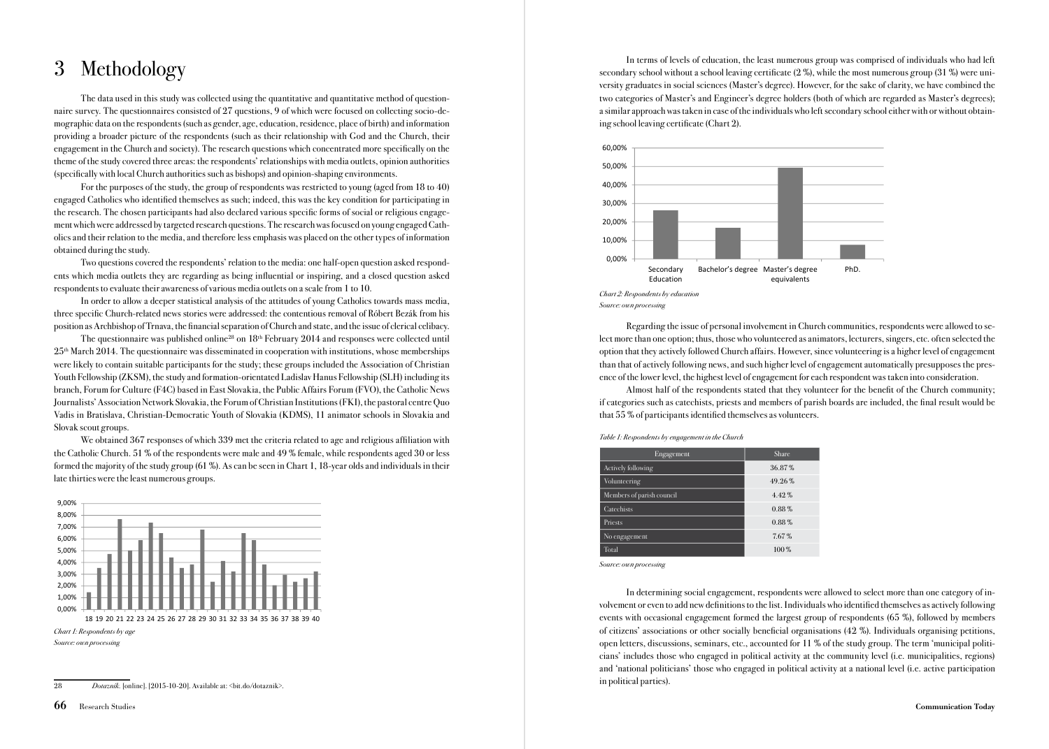## 3 Methodology

The data used in this study was collected using the quantitative and quantitative method of questionnaire survey. The questionnaires consisted of 27 questions, 9 of which were focused on collecting socio-demographic data on the respondents (such as gender, age, education, residence, place of birth) and information providing a broader picture of the respondents (such as their relationship with God and the Church, their engagement in the Church and society). The research questions which concentrated more specifically on the theme of the study covered three areas: the respondents' relationships with media outlets, opinion authorities (specifically with local Church authorities such as bishops) and opinion-shaping environments.

For the purposes of the study, the group of respondents was restricted to young (aged from 18 to 40) engaged Catholics who identified themselves as such; indeed, this was the key condition for participating in the research. The chosen participants had also declared various specific forms of social or religious engagement which were addressed by targeted research questions. The research was focused on young engaged Catholics and their relation to the media, and therefore less emphasis was placed on the other types of information obtained during the study.

Two questions covered the respondents' relation to the media: one half-open question asked respondents which media outlets they are regarding as being influential or inspiring, and a closed question asked respondents to evaluate their awareness of various media outlets on a scale from 1 to 10.

In order to allow a deeper statistical analysis of the attitudes of young Catholics towards mass media, three specific Church-related news stories were addressed: the contentious removal of Róbert Bezák from his position as Archbishop of Trnava, the financial separation of Church and state, and the issue of clerical celibacy.

The questionnaire was published online<sup>28</sup> on 18<sup>th</sup> February 2014 and responses were collected until  $25<sup>th</sup>$  March 2014. The questionnaire was disseminated in cooperation with institutions, whose memberships were likely to contain suitable participants for the study; these groups included the Association of Christian Youth Fellowship (ZKSM), the study and formation-orientated Ladislav Hanus Fellowship (SLH) including its branch, Forum for Culture (F4C) based in East Slovakia, the Public Affairs Forum (FVO), the Catholic News Journalists' Association Network Slovakia, the Forum of Christian Institutions (FKI), the pastoral centre Quo Vadis in Bratislava, Christian-Democratic Youth of Slovakia (KDMS), 11 animator schools in Slovakia and Slovak scout groups.

We obtained 367 responses of which 339 met the criteria related to age and religious affiliation with the Catholic Church. 51 % of the respondents were male and 49 % female, while respondents aged 30 or less formed the majority of the study group (61 %). As can be seen in Chart 1, 18-year olds and individuals in their late thirties were the least numerous groups.



<sup>28</sup> Dotazník. [online]. [2015-10-20]. Available at: <bit.do/dotaznik>.

In terms of levels of education, the least numerous group was comprised of individuals who had left secondary school without a school leaving certificate (2 %), while the most numerous group (31 %) were university graduates in social sciences (Master's degree). However, for the sake of clarity, we have combined the two categories of Master's and Engineer's degree holders (both of which are regarded as Master's degrees); a similar approach was taken in case of the individuals who left secondary school either with or without obtaining school leaving certificate (Chart 2).



Regarding the issue of personal involvement in Church communities, respondents were allowed to select more than one option; thus, those who volunteered as animators, lecturers, singers, etc. often selected the option that they actively followed Church affairs. However, since volunteering is a higher level of engagement than that of actively following news, and such higher level of engagement automatically presupposes the presence of the lower level, the highest level of engagement for each respondent was taken into consideration.

Almost half of the respondents stated that they volunteer for the benefit of the Church community; if categories such as catechists, priests and members of parish boards are included, the final result would be that 55 % of participants identified themselves as volunteers.

Table 1: Respondents by engagement in the Church

| Engagement                | <b>Share</b> |
|---------------------------|--------------|
| Actively following        | 36.87%       |
| Volunteering              | 49.26%       |
| Members of parish council | $4.42\%$     |
| Catechists                | $0.88\%$     |
| Priests                   | $0.88\%$     |
| No engagement             | 7.67%        |
| Total                     | 100%         |

Source: own processing

In determining social engagement, respondents were allowed to select more than one category of involvement or even to add new definitions to the list. Individuals who identified themselves as actively following events with occasional engagement formed the largest group of respondents (65 %), followed by members of citizens' associations or other socially beneficial organisations (42 %). Individuals organising petitions, open letters, discussions, seminars, etc., accounted for 11 % of the study group. The term 'municipal politicians' includes those who engaged in political activity at the community level (i.e. municipalities, regions) and 'national politicians' those who engaged in political activity at a national level (i.e. active participation in political parties).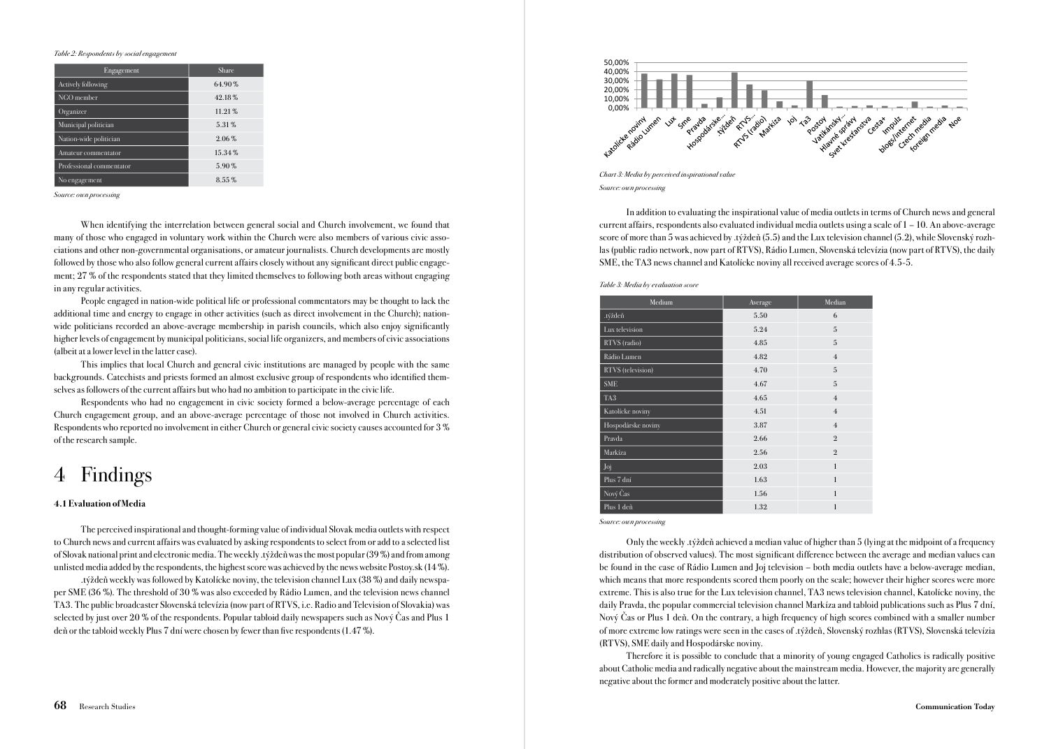#### Table 2: Respondents by social engagement

| Engagement               | <b>Share</b> |
|--------------------------|--------------|
| Actively following       | 64.90%       |
| NGO member               | 42.18%       |
| Organizer                | 11.21%       |
| Municipal politician     | 5.31%        |
| Nation-wide politician   | $2.06\%$     |
| Amateur commentator      | 15.34%       |
| Professional commentator | 5.90%        |
| No engagement            | 8.55%        |

Source: own processing

When identifying the interrelation between general social and Church involvement, we found that many of those who engaged in voluntary work within the Church were also members of various civic associations and other non-governmental organisations, or amateur journalists. Church developments are mostly followed by those who also follow general current affairs closely without any significant direct public engagement; 27 % of the respondents stated that they limited themselves to following both areas without engaging in any regular activities.

People engaged in nation-wide political life or professional commentators may be thought to lack the additional time and energy to engage in other activities (such as direct involvement in the Church); nationwide politicians recorded an above-average membership in parish councils, which also enjoy significantly higher levels of engagement by municipal politicians, social life organizers, and members of civic associations (albeit at a lower level in the latter case).

This implies that local Church and general civic institutions are managed by people with the same backgrounds. Catechists and priests formed an almost exclusive group of respondents who identified themselves as followers of the current affairs but who had no ambition to participate in the civic life.

Respondents who had no engagement in civic society formed a below-average percentage of each Church engagement group, and an above-average percentage of those not involved in Church activities. Respondents who reported no involvement in either Church or general civic society causes accounted for 3 % of the research sample.

# 4 Findings

#### 4.1 Evaluation of Media

The perceived inspirational and thought-forming value of individual Slovak media outlets with respect to Church news and current affairs was evaluated by asking respondents to select from or add to a selected list of Slovak national print and electronic media. The weekly .týždeň was the most popular (39 %) and from among unlisted media added by the respondents, the highest score was achieved by the news website Postoy.sk (14 %).

.týždeň weekly was followed by Katolícke noviny, the television channel Lux (38 %) and daily newspaper SME (36 %). The threshold of 30 % was also exceeded by Rádio Lumen, and the television news channel TA3. The public broadcaster Slovenská televízia (now part of RTVS, i.e. Radio and Television of Slovakia) was selected by just over 20 % of the respondents. Popular tabloid daily newspapers such as Nový Čas and Plus 1 deň or the tabloid weekly Plus 7 dní were chosen by fewer than five respondents (1.47 %).



Chart 3: Media by perceived inspirational value Source: own processing

In addition to evaluating the inspirational value of media outlets in terms of Church news and general current affairs, respondents also evaluated individual media outlets using a scale of 1 – 10. An above-average score of more than 5 was achieved by .týždeň (5.5) and the Lux television channel (5.2), while Slovenský rozhlas (public radio network, now part of RTVS), Rádio Lumen, Slovenská televízia (now part of RTVS), the daily SME, the TA3 news channel and Katolícke noviny all received average scores of 4.5-5.

Table 3: Media by evaluation score

| Medium             | Average | Median         |
|--------------------|---------|----------------|
| .týždeň            | 5.50    | 6              |
| Lux television     | 5.24    | 5              |
| RTVS (radio)       | 4.85    | 5              |
| Rádio Lumen        | 4.82    | $\overline{4}$ |
| RTVS (television)  | 4.70    | 5              |
| <b>SME</b>         | 4.67    | 5              |
| TA <sub>3</sub>    | 4.65    | $\overline{4}$ |
| Katolícke noviny   | 4.51    | $\overline{4}$ |
| Hospodárske noviny | 3.87    | $\overline{4}$ |
| Pravda             | 2.66    | $\overline{2}$ |
| Markíza            | 2.56    | $\mathfrak{2}$ |
| Joj                | 2.03    | $\mathbf{1}$   |
| Plus 7 dní         | 1.63    | $\mathbf{1}$   |
| Nový Čas           | 1.56    | 1              |
| Plus 1 deň         | 1.32    | $\mathbf{1}$   |

Source: own processing

Only the weekly .týždeň achieved a median value of higher than 5 (lying at the midpoint of a frequency distribution of observed values). The most significant difference between the average and median values can be found in the case of Rádio Lumen and Joj television – both media outlets have a below-average median, which means that more respondents scored them poorly on the scale; however their higher scores were more extreme. This is also true for the Lux television channel, TA3 news television channel, Katolícke noviny, the daily Pravda, the popular commercial television channel Markíza and tabloid publications such as Plus 7 dní, Nový Čas or Plus 1 deň. On the contrary, a high frequency of high scores combined with a smaller number of more extreme low ratings were seen in the cases of .týždeň, Slovenský rozhlas (RTVS), Slovenská televízia (RTVS), SME daily and Hospodárske noviny.

Therefore it is possible to conclude that a minority of young engaged Catholics is radically positive about Catholic media and radically negative about the mainstream media. However, the majority are generally negative about the former and moderately positive about the latter.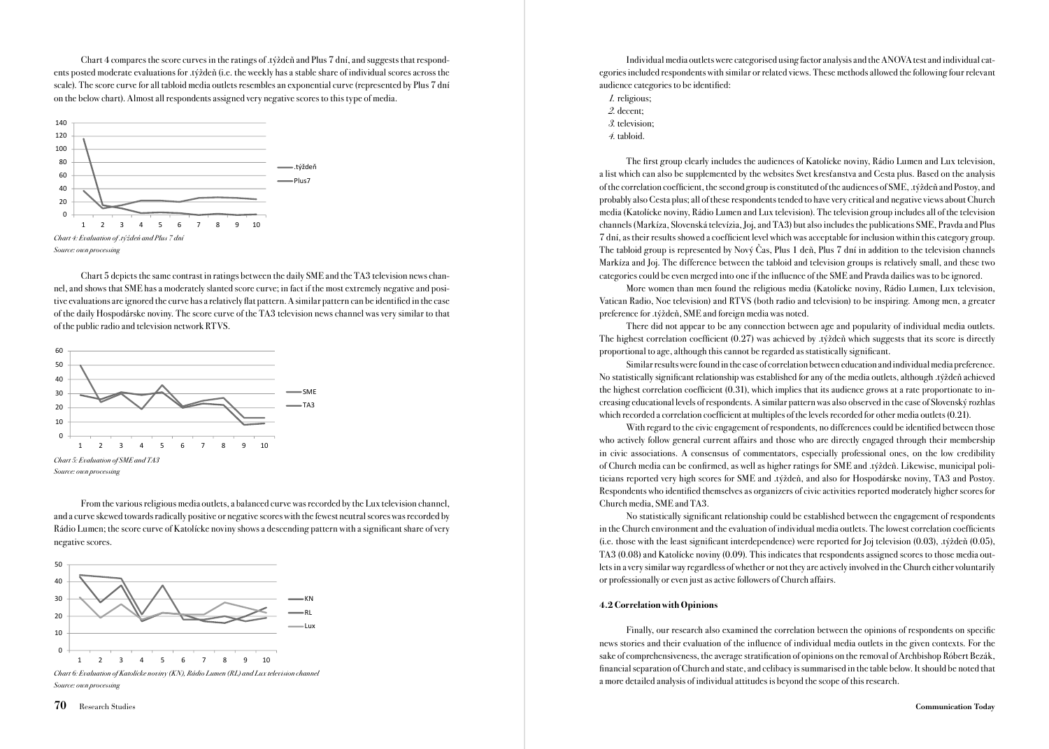Chart 4 compares the score curves in the ratings of .týždeň and Plus 7 dní, and suggests that respondents posted moderate evaluations for .týždeň (i.e. the weekly has a stable share of individual scores across the scale). The score curve for all tabloid media outlets resembles an exponential curve (represented by Plus 7 dní on the below chart). Almost all respondents assigned very negative scores to this type of media.



Chart 5 depicts the same contrast in ratings between the daily SME and the TA3 television news channel, and shows that SME has a moderately slanted score curve; in fact if the most extremely negative and positive evaluations are ignored the curve has a relatively flat pattern. A similar pattern can be identified in the case of the daily Hospodárske noviny. The score curve of the TA3 television news channel was very similar to that of the public radio and television network RTVS.



From the various religious media outlets, a balanced curve was recorded by the Lux television channel, and a curve skewed towards radically positive or negative scores with the fewest neutral scores was recorded by Rádio Lumen; the score curve of Katolícke noviny shows a descending pattern with a significant share of very negative scores.



Chart 6: Evaluation of Katolícke noviny (KN), Rádio Lumen (RL) and Lux television channel Source: own processing

Individual media outlets were categorised using factor analysis and the ANOVA test and individual categories included respondents with similar or related views. These methods allowed the following four relevant audience categories to be identified:

- 1. religious;
- 2. decent;
- 3. television;
- 4. tabloid.

The first group clearly includes the audiences of Katolícke noviny, Rádio Lumen and Lux television, a list which can also be supplemented by the websites Svet kresťanstva and Cesta plus. Based on the analysis of the correlation coefficient, the second group is constituted of the audiences of SME, .týždeň and Postoy, and probably also Cesta plus; all of these respondents tended to have very critical and negative views about Church media (Katolícke noviny, Rádio Lumen and Lux television). The television group includes all of the television channels (Markíza, Slovenská televízia, Joj, and TA3) but also includes the publications SME, Pravda and Plus 7 dní, as their results showed a coefficient level which was acceptable for inclusion within this category group. The tabloid group is represented by Nový Čas, Plus 1 deň, Plus 7 dní in addition to the television channels Markíza and Joj. The difference between the tabloid and television groups is relatively small, and these two categories could be even merged into one if the influence of the SME and Pravda dailies was to be ignored.

More women than men found the religious media (Katolícke noviny, Rádio Lumen, Lux television, Vatican Radio, Noe television) and RTVS (both radio and television) to be inspiring. Among men, a greater preference for .týždeň, SME and foreign media was noted.

There did not appear to be any connection between age and popularity of individual media outlets. The highest correlation coefficient  $(0.27)$  was achieved by .týždeň which suggests that its score is directly proportional to age, although this cannot be regarded as statistically significant.

Similar results were found in the case of correlation between education and individual media preference. No statistically significant relationship was established for any of the media outlets, although .týždeň achieved the highest correlation coefficient (0.31), which implies that its audience grows at a rate proportionate to increasing educational levels of respondents. A similar pattern was also observed in the case of Slovenský rozhlas which recorded a correlation coefficient at multiples of the levels recorded for other media outlets (0.21).

With regard to the civic engagement of respondents, no differences could be identified between those who actively follow general current affairs and those who are directly engaged through their membership in civic associations. A consensus of commentators, especially professional ones, on the low credibility of Church media can be confirmed, as well as higher ratings for SME and .týždeň. Likewise, municipal politicians reported very high scores for SME and .týždeň, and also for Hospodárske noviny, TA3 and Postoy. Respondents who identified themselves as organizers of civic activities reported moderately higher scores for Church media, SME and TA3.

No statistically significant relationship could be established between the engagement of respondents in the Church environment and the evaluation of individual media outlets. The lowest correlation coefficients (i.e. those with the least significant interdependence) were reported for Joj television (0.03), .týždeň (0.05), TA3 (0.08) and Katolícke noviny (0.09). This indicates that respondents assigned scores to those media outlets in a very similar way regardless of whether or not they are actively involved in the Church either voluntarily or professionally or even just as active followers of Church affairs.

#### 4.2 Correlation with Opinions

Finally, our research also examined the correlation between the opinions of respondents on specific news stories and their evaluation of the influence of individual media outlets in the given contexts. For the sake of comprehensiveness, the average stratification of opinions on the removal of Archbishop Róbert Bezák, financial separation of Church and state, and celibacy is summarised in the table below. It should be noted that a more detailed analysis of individual attitudes is beyond the scope of this research.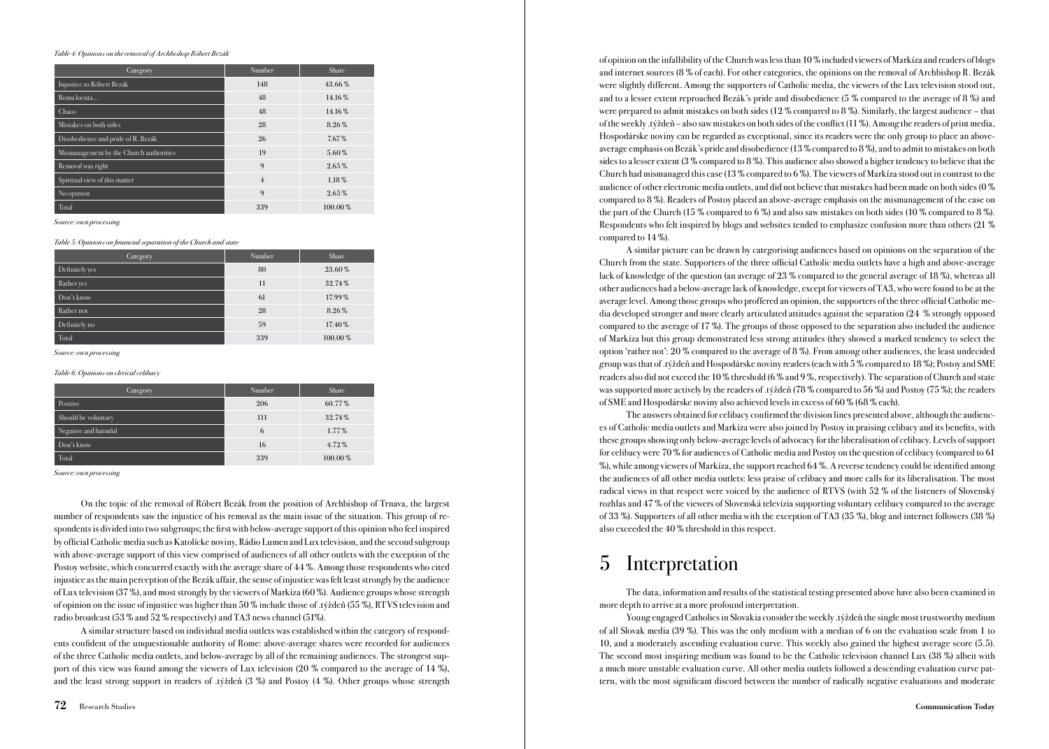#### Table 4: Opinions on the removal of Archbishop Róbert Bezák

| Category                                | Number         | <b>Share</b> |
|-----------------------------------------|----------------|--------------|
| Injustice to Róbert Bezák               | 148            | 43.66%       |
| Roma locuta                             | 48             | 14.16%       |
| Chaos                                   | 48             | 14.16%       |
| Mistakes on both sides                  | 28             | 8.26%        |
| Disobedience and pride of R. Bezák      | 26             | 7.67%        |
| Mismanagement by the Church authorities | 19             | 5.60%        |
| Removal was right                       | 9              | $2.65\%$     |
| Spiritual view of this matter           | $\overline{4}$ | $1.18\%$     |
| No opinion                              | 9              | $2.65\%$     |
| Total                                   | 339            | 100.00%      |

Source: own processing

#### Table 5: Opinions on financial separation of the Church and state

| Category       | Number | <b>Share</b> |
|----------------|--------|--------------|
| Definitely yes | 80     | 23.60%       |
| Rather yes     | 11     | 32.74%       |
| Don't know     | 61     | 17.99%       |
| Rather not     | 28     | 8.26%        |
| Definitely no  | 59     | 17.40%       |
| Total          | 339    | 100.00%      |

#### Source: own processing

#### Table 6: Opinions on clerical celibacy

| Category             | <b>Number</b> | <b>Share</b> |
|----------------------|---------------|--------------|
| Positive             | 206           | 60.77%       |
| Should be voluntary  | 111           | 32.74%       |
| Negative and harmful | 6             | $1.77\%$     |
| Don't know           | 16            | 4.72%        |
| Total                | 339           | 100.00%      |

#### Source: own processing

On the topic of the removal of Róbert Bezák from the position of Archbishop of Trnava, the largest number of respondents saw the injustice of his removal as the main issue of the situation. This group of respondents is divided into two subgroups; the first with below-average support of this opinion who feel inspired by official Catholic media such as Katolícke noviny, Rádio Lumen and Lux television, and the second subgroup with above-average support of this view comprised of audiences of all other outlets with the exception of the Postoy website, which concurred exactly with the average share of 44 %. Among those respondents who cited injustice as the main perception of the Bezák affair, the sense of injustice was felt least strongly by the audience of Lux television (37 %), and most strongly by the viewers of Markíza (60 %). Audience groups whose strength of opinion on the issue of injustice was higher than 50 % include those of .týždeň (55 %), RTVS television and radio broadcast (53 % and 52 % respectively) and TA3 news channel (51%).

A similar structure based on individual media outlets was established within the category of respondents confident of the unquestionable authority of Rome: above-average shares were recorded for audiences of the three Catholic media outlets, and below-average by all of the remaining audiences. The strongest support of this view was found among the viewers of Lux television (20 % compared to the average of 14 %), and the least strong support in readers of .týždeň (3 %) and Postoy (4 %). Other groups whose strength

of opinion on the infallibility of the Church was less than 10 % included viewers of Markíza and readers of blogs and internet sources (8 % of each). For other categories, the opinions on the removal of Archbishop R. Bezák were slightly different. Among the supporters of Catholic media, the viewers of the Lux television stood out, and to a lesser extent reproached Bezák's pride and disobedience (5 % compared to the average of 8 %) and were prepared to admit mistakes on both sides (12 % compared to 8 %). Similarly, the largest audience – that of the weekly .týždeň – also saw mistakes on both sides of the conflict (11 %). Among the readers of print media, Hospodárske noviny can be regarded as exceptional, since its readers were the only group to place an aboveaverage emphasis on Bezák's pride and disobedience (13 % compared to 8 %), and to admit to mistakes on both sides to a lesser extent (3 % compared to 8 %). This audience also showed a higher tendency to believe that the Church had mismanaged this case (13 % compared to 6 %). The viewers of Markíza stood out in contrast to the audience of other electronic media outlets, and did not believe that mistakes had been made on both sides (0 % compared to 8 %). Readers of Postoy placed an above-average emphasis on the mismanagement of the case on the part of the Church (15 % compared to 6 %) and also saw mistakes on both sides (10 % compared to 8 %). Respondents who felt inspired by blogs and websites tended to emphasize confusion more than others (21 % compared to 14 %).

A similar picture can be drawn by categorising audiences based on opinions on the separation of the Church from the state. Supporters of the three official Catholic media outlets have a high and above-average lack of knowledge of the question (an average of 23 % compared to the general average of 18 %), whereas all other audiences had a below-average lack of knowledge, except for viewers of TA3, who were found to be at the average level. Among those groups who proffered an opinion, the supporters of the three official Catholic media developed stronger and more clearly articulated attitudes against the separation (24 % strongly opposed compared to the average of 17 %). The groups of those opposed to the separation also included the audience of Markíza but this group demonstrated less strong attitudes (they showed a marked tendency to select the option 'rather not': 20 % compared to the average of 8 %). From among other audiences, the least undecided group was that of .týždeň and Hospodárske noviny readers (each with 5 % compared to 18 %); Postoy and SME readers also did not exceed the 10 % threshold (6 % and 9 %, respectively). The separation of Church and state was supported more actively by the readers of .týždeň (78 % compared to 56 %) and Postoy (75 %); the readers of SME and Hospodárske noviny also achieved levels in excess of 60 % (68 % each).

The answers obtained for celibacy confirmed the division lines presented above, although the audiences of Catholic media outlets and Markíza were also joined by Postoy in praising celibacy and its benefits, with these groups showing only below-average levels of advocacy for the liberalisation of celibacy. Levels of support for celibacy were 70 % for audiences of Catholic media and Postoy on the question of celibacy (compared to 61 %), while among viewers of Markíza, the support reached 64 %. A reverse tendency could be identified among the audiences of all other media outlets: less praise of celibacy and more calls for its liberalisation. The most radical views in that respect were voiced by the audience of RTVS (with 52 % of the listeners of Slovenský rozhlas and 47 % of the viewers of Slovenská televízia supporting voluntary celibacy compared to the average of 33 %). Supporters of all other media with the exception of TA3 (35 %), blog and internet followers (38 %) also exceeded the 40 % threshold in this respect.

### 5 Interpretation

The data, information and results of the statistical testing presented above have also been examined in more depth to arrive at a more profound interpretation.

Young engaged Catholics in Slovakia consider the weekly .týždeň the single most trustworthy medium of all Slovak media (39 %). This was the only medium with a median of 6 on the evaluation scale from 1 to 10, and a moderately ascending evaluation curve. This weekly also gained the highest average score (5.5). The second most inspiring medium was found to be the Catholic television channel Lux (38 %) albeit with a much more unstable evaluation curve. All other media outlets followed a descending evaluation curve pattern, with the most significant discord between the number of radically negative evaluations and moderate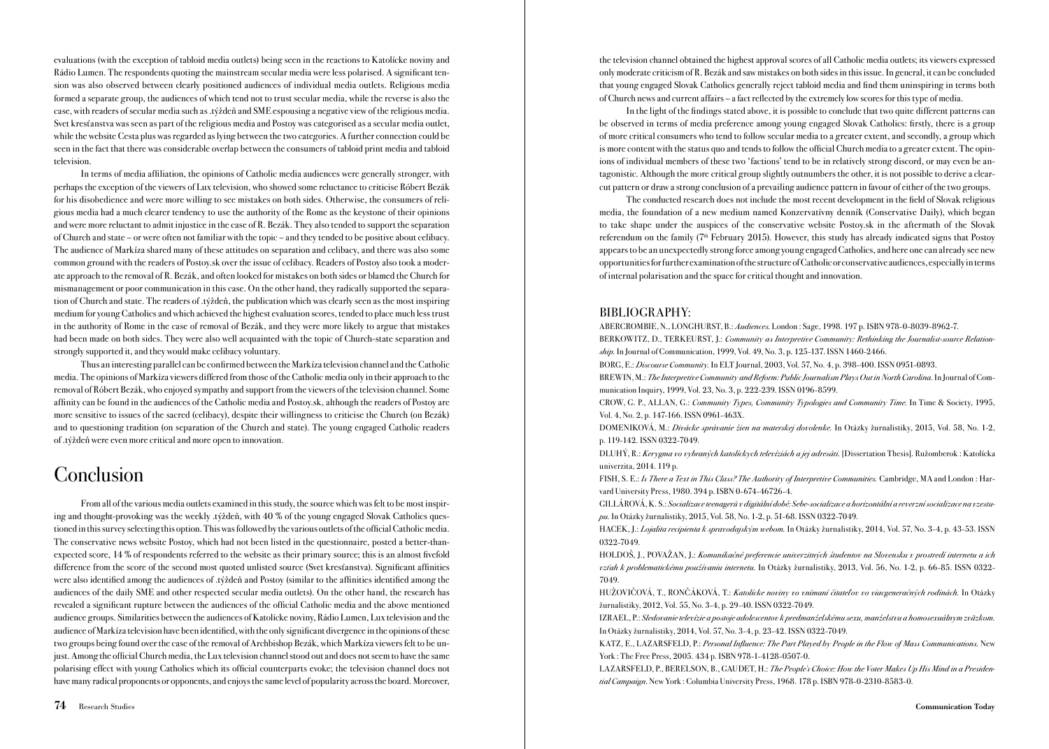evaluations (with the exception of tabloid media outlets) being seen in the reactions to Katolícke noviny and Rádio Lumen. The respondents quoting the mainstream secular media were less polarised. A significant tension was also observed between clearly positioned audiences of individual media outlets. Religious media formed a separate group, the audiences of which tend not to trust secular media, while the reverse is also the case, with readers of secular media such as .týždeň and SME espousing a negative view of the religious media. Svet kresťanstva was seen as part of the religious media and Postoy was categorised as a secular media outlet, while the website Cesta plus was regarded as lying between the two categories. A further connection could be seen in the fact that there was considerable overlap between the consumers of tabloid print media and tabloid television.

In terms of media affiliation, the opinions of Catholic media audiences were generally stronger, with perhaps the exception of the viewers of Lux television, who showed some reluctance to criticise Róbert Bezák for his disobedience and were more willing to see mistakes on both sides. Otherwise, the consumers of religious media had a much clearer tendency to use the authority of the Rome as the keystone of their opinions and were more reluctant to admit injustice in the case of R. Bezák. They also tended to support the separation of Church and state – or were often not familiar with the topic – and they tended to be positive about celibacy. The audience of Markíza shared many of these attitudes on separation and celibacy, and there was also some common ground with the readers of Postoy.sk over the issue of celibacy. Readers of Postoy also took a moderate approach to the removal of R. Bezák, and often looked for mistakes on both sides or blamed the Church for mismanagement or poor communication in this case. On the other hand, they radically supported the separation of Church and state. The readers of .týždeň, the publication which was clearly seen as the most inspiring medium for young Catholics and which achieved the highest evaluation scores, tended to place much less trust in the authority of Rome in the case of removal of Bezák, and they were more likely to argue that mistakes had been made on both sides. They were also well acquainted with the topic of Church-state separation and strongly supported it, and they would make celibacy voluntary.

Thus an interesting parallel can be confirmed between the Markíza television channel and the Catholic media. The opinions of Markíza viewers differed from those of the Catholic media only in their approach to the removal of Róbert Bezák, who enjoyed sympathy and support from the viewers of the television channel. Some affinity can be found in the audiences of the Catholic media and Postoy.sk, although the readers of Postoy are more sensitive to issues of the sacred (celibacy), despite their willingness to criticise the Church (on Bezák) and to questioning tradition (on separation of the Church and state). The young engaged Catholic readers of .týždeň were even more critical and more open to innovation.

### **Conclusion**

From all of the various media outlets examined in this study, the source which was felt to be most inspiring and thought-provoking was the weekly .týždeň, with 40 % of the young engaged Slovak Catholics questioned in this survey selecting this option. This was followed by the various outlets of the official Catholic media. The conservative news website Postoy, which had not been listed in the questionnaire, posted a better-thanexpected score, 14 % of respondents referred to the website as their primary source; this is an almost fivefold difference from the score of the second most quoted unlisted source (Svet kresťanstva). Significant affinities were also identified among the audiences of .týždeň and Postoy (similar to the affinities identified among the audiences of the daily SME and other respected secular media outlets). On the other hand, the research has revealed a significant rupture between the audiences of the official Catholic media and the above mentioned audience groups. Similarities between the audiences of Katolícke noviny, Rádio Lumen, Lux television and the audience of Markíza television have been identified, with the only significant divergence in the opinions of these two groups being found over the case of the removal of Archbishop Bezák, which Markíza viewers felt to be unjust. Among the official Church media, the Lux television channel stood out and does not seem to have the same polarising effect with young Catholics which its official counterparts evoke; the television channel does not have many radical proponents or opponents, and enjoys the same level of popularity across the board. Moreover,

the television channel obtained the highest approval scores of all Catholic media outlets; its viewers expressed only moderate criticism of R. Bezák and saw mistakes on both sides in this issue. In general, it can be concluded that young engaged Slovak Catholics generally reject tabloid media and find them uninspiring in terms both of Church news and current affairs – a fact reflected by the extremely low scores for this type of media.

In the light of the findings stated above, it is possible to conclude that two quite different patterns can be observed in terms of media preference among young engaged Slovak Catholics: firstly, there is a group of more critical consumers who tend to follow secular media to a greater extent, and secondly, a group which is more content with the status quo and tends to follow the official Church media to a greater extent. The opinions of individual members of these two 'factions' tend to be in relatively strong discord, or may even be antagonistic. Although the more critical group slightly outnumbers the other, it is not possible to derive a clearcut pattern or draw a strong conclusion of a prevailing audience pattern in favour of either of the two groups.

The conducted research does not include the most recent development in the field of Slovak religious media, the foundation of a new medium named Konzervatívny denník (Conservative Daily), which began to take shape under the auspices of the conservative website Postoy.sk in the aftermath of the Slovak referendum on the family ( $7<sup>th</sup>$  February 2015). However, this study has already indicated signs that Postoy appears to be an unexpectedly strong force among young engaged Catholics, and here one can already see new opportunities for further examination of the structure of Catholic or conservative audiences, especially in terms of internal polarisation and the space for critical thought and innovation.

### BIBLIOGRAPHY:

ABERCROMBIE, N., LONGHURST, B.: Audiences. London : Sage, 1998. 197 p. ISBN 978-0-8039-8962-7. BERKOWITZ, D., TERKEURST, J.: Community as Interpretive Community: Rethinking the Journalist-source Relation-

ship. In Journal of Communication, 1999, Vol. 49, No. 3, p. 125-137. ISSN 1460-2466.

BORG, E.: Discourse Community. In ELT Journal, 2003, Vol. 57, No. 4, p. 398-400. ISSN 0951-0893.

BREWIN, M.: The Interpretive Community and Reform: Public Journalism Plays Out in North Carolina. In Journal of Communication Inquiry, 1999, Vol. 23, No. 3, p. 222-239. ISSN 0196-8599.

CROW, G. P., ALLAN, G.: Community Types, Community Typologies and Community Time. In Time & Society, 1995, Vol. 4, No. 2, p. 147-166. ISSN 0961-463X.

DOMENIKOVÁ, M.: Divácke správanie žien na materskej dovolenke. In Otázky žurnalistiky, 2015, Vol. 58, No. 1-2, p. 119-142. ISSN 0322-7049.

DLUHÝ, R.: Kerygma vo vybraných katolíckych televíziách a jej adresáti. [Dissertation Thesis]. Ružomberok : Katolícka univerzita, 2014. 119 p.

FISH, S. E.: Is There a Text in This Class? The Authority of Interpretive Communities. Cambridge, MA and London : Harvard University Press, 1980. 394 p. ISBN 0-674-46726-4.

GILLÁROVÁ, K. S.: Socializace teenagerů v digitální době: Sebe-socializace a horizontální a reverzní socializace na vzestupu. In Otázky žurnalistiky, 2015, Vol. 58, No. 1-2, p. 51-68. ISSN 0322-7049.

HACEK, J.: Lojalita recipienta k spravodajským webom. In Otázky žurnalistiky, 2014, Vol. 57, No. 3-4, p. 43-53. ISSN 0322-7049.

HOLDOŠ, J., POVAŽAN, J.: Komunikačné preferencie univerzitných študentov na Slovensku v prostredí internetu a ich vzťah k problematickému používaniu internetu. In Otázky žurnalistiky, 2013, Vol. 56, No. 1-2, p. 66-85. ISSN 0322- 7049.

HUŽOVIČOVÁ, T., RONČÁKOVÁ, T.: Katolícke noviny vo vnímaní čitateľov vo viacgeneračných rodinách. In Otázky žurnalistiky, 2012, Vol. 55, No. 3-4, p. 29-40. ISSN 0322-7049.

IZRAEL, P.: Sledovanie televízie a postoje adolescentov k predmanželskému sexu, manželstvu a homosexuálnym zväzkom. In Otázky žurnalistiky, 2014, Vol. 57, No. 3-4, p. 23-42. ISSN 0322-7049.

KATZ, E., LAZARSFELD, P.: [Personal Influence: The Part Played by People in the Flow of Mass Communications.](http://books.google.co.uk/books?hl=en&lr=&id=rElW8D0D8gYC&oi=fnd&pg=PR1&dq=Personal+influence:+The+part+played+by+people+in+the+flow+of+mass+communications&ots=OCA_5Uj2hK&sig=HHSi26gaYjt3PYgk8xEmPdK1iAQ#v=onepage&q=Personal%2520influence%253A%2520The%2520part%2520played%2520by%2520people%2520in%2520the%2520flow%2520of%2520mass%2520communications&f=false) New York : The Free Press, 2005. 434 p. ISBN 978-1-4128-0507-0.

LAZARSFELD, P., BERELSON, B., GAUDET, H.: The People's Choice: How the Voter Makes Up His Mind in a Presidential Campaign. New York : Columbia University Press, 1968. 178 p. ISBN 978-0-2310-8583-0.